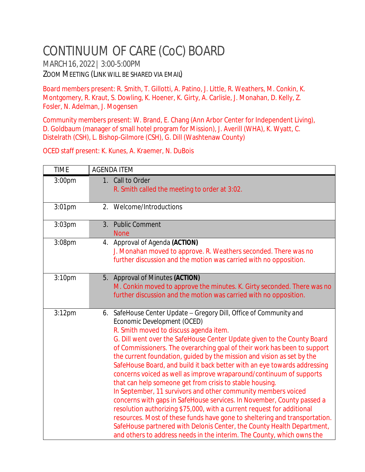## CONTINUUM OF CARE (CoC) BOARD

MARCH16,2022| 3:00-5:00PM ZOOM MEETING (LINK WILL BE SHARED VIA EMAIL)

Board members present: R. Smith, T. Gillotti, A. Patino, J. Little, R. Weathers, M. Conkin, K. Montgomery, R. Kraut, S. Dowling, K. Hoener, K. Girty, A. Carlisle, J. Monahan, D. Kelly, Z. Fosler, N. Adelman, J. Mogensen

Community members present: W. Brand, E. Chang (Ann Arbor Center for Independent Living), D. Goldbaum (manager of small hotel program for Mission), J. Averill (WHA), K. Wyatt, C. Distelrath (CSH), L. Bishop-Gilmore (CSH), G. Dill (Washtenaw County)

OCED staff present: K. Kunes, A. Kraemer, N. DuBois

| <b>TIME</b>        | <b>AGENDA ITEM</b>                                                                                                                                                                                                                                                                                                                                                                                                                                                                                                                                                                                                                                                                                                                                                                                                                                                                                                                                                                                                                                 |
|--------------------|----------------------------------------------------------------------------------------------------------------------------------------------------------------------------------------------------------------------------------------------------------------------------------------------------------------------------------------------------------------------------------------------------------------------------------------------------------------------------------------------------------------------------------------------------------------------------------------------------------------------------------------------------------------------------------------------------------------------------------------------------------------------------------------------------------------------------------------------------------------------------------------------------------------------------------------------------------------------------------------------------------------------------------------------------|
| 3:00 <sub>pm</sub> | 1. Call to Order<br>R. Smith called the meeting to order at 3:02.                                                                                                                                                                                                                                                                                                                                                                                                                                                                                                                                                                                                                                                                                                                                                                                                                                                                                                                                                                                  |
| $3:01$ pm          | 2. Welcome/Introductions                                                                                                                                                                                                                                                                                                                                                                                                                                                                                                                                                                                                                                                                                                                                                                                                                                                                                                                                                                                                                           |
| $3:03$ pm          | <b>Public Comment</b><br>3.<br><b>None</b>                                                                                                                                                                                                                                                                                                                                                                                                                                                                                                                                                                                                                                                                                                                                                                                                                                                                                                                                                                                                         |
| 3:08pm             | 4. Approval of Agenda (ACTION)<br>J. Monahan moved to approve. R. Weathers seconded. There was no<br>further discussion and the motion was carried with no opposition.                                                                                                                                                                                                                                                                                                                                                                                                                                                                                                                                                                                                                                                                                                                                                                                                                                                                             |
| 3:10 <sub>pm</sub> | 5. Approval of Minutes (ACTION)<br>M. Conkin moved to approve the minutes. K. Girty seconded. There was no<br>further discussion and the motion was carried with no opposition.                                                                                                                                                                                                                                                                                                                                                                                                                                                                                                                                                                                                                                                                                                                                                                                                                                                                    |
| 3:12pm             | 6. SafeHouse Center Update - Gregory Dill, Office of Community and<br>Economic Development (OCED)<br>R. Smith moved to discuss agenda item.<br>G. Dill went over the SafeHouse Center Update given to the County Board<br>of Commissioners. The overarching goal of their work has been to support<br>the current foundation, guided by the mission and vision as set by the<br>SafeHouse Board, and build it back better with an eye towards addressing<br>concerns voiced as well as improve wraparound/continuum of supports<br>that can help someone get from crisis to stable housing.<br>In September, 11 survivors and other community members voiced<br>concerns with gaps in SafeHouse services. In November, County passed a<br>resolution authorizing \$75,000, with a current request for additional<br>resources. Most of these funds have gone to sheltering and transportation.<br>SafeHouse partnered with Delonis Center, the County Health Department,<br>and others to address needs in the interim. The County, which owns the |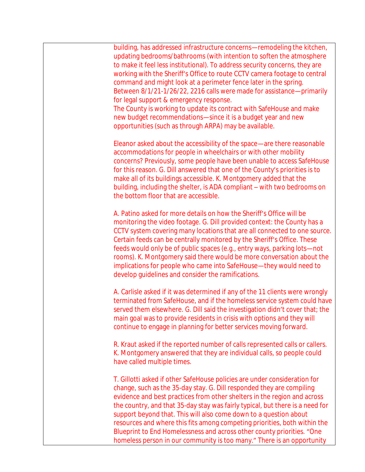building, has addressed infrastructure concerns—remodeling the kitchen, updating bedrooms/bathrooms (with intention to soften the atmosphere to make it feel less institutional). To address security concerns, they are working with the Sheriff's Office to route CCTV camera footage to central command and might look at a perimeter fence later in the spring. Between 8/1/21-1/26/22, 2216 calls were made for assistance—primarily for legal support & emergency response.

The County is working to update its contract with SafeHouse and make new budget recommendations—since it is a budget year and new opportunities (such as through ARPA) may be available.

Eleanor asked about the accessibility of the space—are there reasonable accommodations for people in wheelchairs or with other mobility concerns? Previously, some people have been unable to access SafeHouse for this reason. G. Dill answered that one of the County's priorities is to make all of its buildings accessible. K. Montgomery added that the building, including the shelter, is ADA compliant – with two bedrooms on the bottom floor that are accessible.

A. Patino asked for more details on how the Sheriff's Office will be monitoring the video footage. G. Dill provided context: the County has a CCTV system covering many locations that are all connected to one source. Certain feeds can be centrally monitored by the Sheriff's Office. These feeds would only be of public spaces (e.g., entry ways, parking lots—not rooms). K. Montgomery said there would be more conversation about the implications for people who came into SafeHouse—they would need to develop guidelines and consider the ramifications.

A. Carlisle asked if it was determined if any of the 11 clients were wrongly terminated from SafeHouse, and if the homeless service system could have served them elsewhere. G. Dill said the investigation didn't cover that; the main goal was to provide residents in crisis with options and they will continue to engage in planning for better services moving forward.

R. Kraut asked if the reported number of calls represented calls or callers. K. Montgomery answered that they are individual calls, so people could have called multiple times.

T. Gillotti asked if other SafeHouse policies are under consideration for change, such as the 35-day stay. G. Dill responded they are compiling evidence and best practices from other shelters in the region and across the country, and that 35-day stay was fairly typical, but there is a need for support beyond that. This will also come down to a question about resources and where this fits among competing priorities, both within the Blueprint to End Homelessness and across other county priorities. "One homeless person in our community is too many." There is an opportunity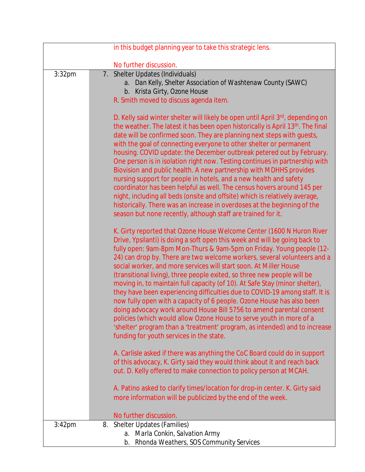|           | in this budget planning year to take this strategic lens.                                                                                                                                                                                                                                                                                                                                                                                                                                                                                                                                                                                                                                                                                                                                                                                                                                                                                                               |
|-----------|-------------------------------------------------------------------------------------------------------------------------------------------------------------------------------------------------------------------------------------------------------------------------------------------------------------------------------------------------------------------------------------------------------------------------------------------------------------------------------------------------------------------------------------------------------------------------------------------------------------------------------------------------------------------------------------------------------------------------------------------------------------------------------------------------------------------------------------------------------------------------------------------------------------------------------------------------------------------------|
|           | No further discussion.                                                                                                                                                                                                                                                                                                                                                                                                                                                                                                                                                                                                                                                                                                                                                                                                                                                                                                                                                  |
| 3:32pm    | 7. Shelter Updates (Individuals)<br>a. Dan Kelly, Shelter Association of Washtenaw County (SAWC)<br>b. Krista Girty, Ozone House<br>R. Smith moved to discuss agenda item.<br>D. Kelly said winter shelter will likely be open until April 3rd, depending on                                                                                                                                                                                                                                                                                                                                                                                                                                                                                                                                                                                                                                                                                                            |
|           | the weather. The latest it has been open historically is April 13 <sup>th</sup> . The final<br>date will be confirmed soon. They are planning next steps with guests,<br>with the goal of connecting everyone to other shelter or permanent<br>housing. COVID update: the December outbreak petered out by February.<br>One person is in isolation right now. Testing continues in partnership with<br>Biovision and public health. A new partnership with MDHHS provides<br>nursing support for people in hotels, and a new health and safety<br>coordinator has been helpful as well. The census hovers around 145 per<br>night, including all beds (onsite and offsite) which is relatively average,<br>historically. There was an increase in overdoses at the beginning of the<br>season but none recently, although staff are trained for it.                                                                                                                     |
|           | K. Girty reported that Ozone House Welcome Center (1600 N Huron River<br>Drive, Ypsilanti) is doing a soft open this week and will be going back to<br>fully open: 9am-8pm Mon-Thurs & 9am-5pm on Friday. Young people (12-<br>24) can drop by. There are two welcome workers, several volunteers and a<br>social worker, and more services will start soon. At Miller House<br>(transitional living), three people exited, so three new people will be<br>moving in, to maintain full capacity (of 10). At Safe Stay (minor shelter),<br>they have been experiencing difficulties due to COVID-19 among staff. It is<br>now fully open with a capacity of 6 people. Ozone House has also been<br>doing advocacy work around House Bill 5756 to amend parental consent<br>policies (which would allow Ozone House to serve youth in more of a<br>'shelter' program than a 'treatment' program, as intended) and to increase<br>funding for youth services in the state. |
|           | A. Carlisle asked if there was anything the CoC Board could do in support<br>of this advocacy, K. Girty said they would think about it and reach back<br>out. D. Kelly offered to make connection to policy person at MCAH.                                                                                                                                                                                                                                                                                                                                                                                                                                                                                                                                                                                                                                                                                                                                             |
|           | A. Patino asked to clarify times/location for drop-in center. K. Girty said<br>more information will be publicized by the end of the week.<br>No further discussion.                                                                                                                                                                                                                                                                                                                                                                                                                                                                                                                                                                                                                                                                                                                                                                                                    |
| $3:42$ pm | 8. Shelter Updates (Families)<br>a. Marla Conkin, Salvation Army<br>b. Rhonda Weathers, SOS Community Services                                                                                                                                                                                                                                                                                                                                                                                                                                                                                                                                                                                                                                                                                                                                                                                                                                                          |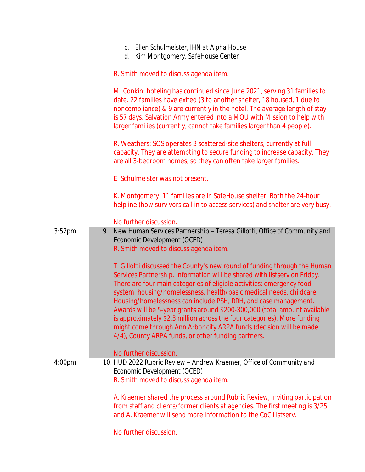|                    | c. Ellen Schulmeister, IHN at Alpha House                                                                                                                                                                                                                                                                                                                                                                                                                                                                                                                                                                                                                         |
|--------------------|-------------------------------------------------------------------------------------------------------------------------------------------------------------------------------------------------------------------------------------------------------------------------------------------------------------------------------------------------------------------------------------------------------------------------------------------------------------------------------------------------------------------------------------------------------------------------------------------------------------------------------------------------------------------|
|                    | d. Kim Montgomery, SafeHouse Center                                                                                                                                                                                                                                                                                                                                                                                                                                                                                                                                                                                                                               |
|                    |                                                                                                                                                                                                                                                                                                                                                                                                                                                                                                                                                                                                                                                                   |
|                    | R. Smith moved to discuss agenda item.                                                                                                                                                                                                                                                                                                                                                                                                                                                                                                                                                                                                                            |
|                    | M. Conkin: hoteling has continued since June 2021, serving 31 families to<br>date. 22 families have exited (3 to another shelter, 18 housed, 1 due to<br>noncompliance) & 9 are currently in the hotel. The average length of stay<br>is 57 days. Salvation Army entered into a MOU with Mission to help with<br>larger families (currently, cannot take families larger than 4 people).                                                                                                                                                                                                                                                                          |
|                    | R. Weathers: SOS operates 3 scattered-site shelters, currently at full<br>capacity. They are attempting to secure funding to increase capacity. They<br>are all 3-bedroom homes, so they can often take larger families.                                                                                                                                                                                                                                                                                                                                                                                                                                          |
|                    | E. Schulmeister was not present.                                                                                                                                                                                                                                                                                                                                                                                                                                                                                                                                                                                                                                  |
|                    | K. Montgomery: 11 families are in SafeHouse shelter. Both the 24-hour<br>helpline (how survivors call in to access services) and shelter are very busy.                                                                                                                                                                                                                                                                                                                                                                                                                                                                                                           |
|                    | No further discussion.                                                                                                                                                                                                                                                                                                                                                                                                                                                                                                                                                                                                                                            |
| 3:52 <sub>pm</sub> | New Human Services Partnership - Teresa Gillotti, Office of Community and<br>9.<br>Economic Development (OCED)<br>R. Smith moved to discuss agenda item.                                                                                                                                                                                                                                                                                                                                                                                                                                                                                                          |
|                    | T. Gillotti discussed the County's new round of funding through the Human<br>Services Partnership. Information will be shared with listserv on Friday.<br>There are four main categories of eligible activities: emergency food<br>system, housing/homelessness, health/basic medical needs, childcare.<br>Housing/homelessness can include PSH, RRH, and case management.<br>Awards will be 5-year grants around \$200-300,000 (total amount available<br>is approximately \$2.3 million across the four categories). More funding<br>might come through Ann Arbor city ARPA funds (decision will be made<br>4/4), County ARPA funds, or other funding partners. |
|                    | No further discussion.                                                                                                                                                                                                                                                                                                                                                                                                                                                                                                                                                                                                                                            |
| 4:00pm             | 10. HUD 2022 Rubric Review - Andrew Kraemer, Office of Community and<br>Economic Development (OCED)                                                                                                                                                                                                                                                                                                                                                                                                                                                                                                                                                               |
|                    | R. Smith moved to discuss agenda item.                                                                                                                                                                                                                                                                                                                                                                                                                                                                                                                                                                                                                            |
|                    | A. Kraemer shared the process around Rubric Review, inviting participation<br>from staff and clients/former clients at agencies. The first meeting is 3/25,<br>and A. Kraemer will send more information to the CoC Listserv.                                                                                                                                                                                                                                                                                                                                                                                                                                     |
|                    | No further discussion.                                                                                                                                                                                                                                                                                                                                                                                                                                                                                                                                                                                                                                            |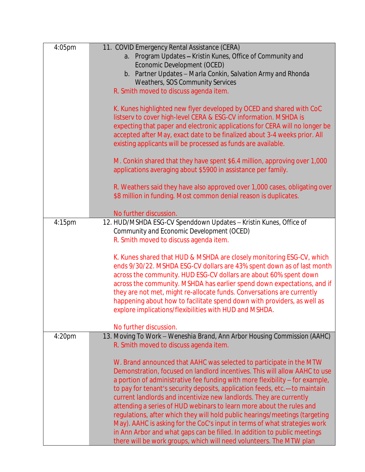| 4:05pm             | 11. COVID Emergency Rental Assistance (CERA)                                                       |
|--------------------|----------------------------------------------------------------------------------------------------|
|                    | a. Program Updates - Kristin Kunes, Office of Community and                                        |
|                    | Economic Development (OCED)                                                                        |
|                    | b. Partner Updates - Marla Conkin, Salvation Army and Rhonda                                       |
|                    | <b>Weathers, SOS Community Services</b>                                                            |
|                    | R. Smith moved to discuss agenda item.                                                             |
|                    | K. Kunes highlighted new flyer developed by OCED and shared with CoC                               |
|                    | listserv to cover high-level CERA & ESG-CV information. MSHDA is                                   |
|                    | expecting that paper and electronic applications for CERA will no longer be                        |
|                    | accepted after May, exact date to be finalized about 3-4 weeks prior. All                          |
|                    | existing applicants will be processed as funds are available.                                      |
|                    |                                                                                                    |
|                    | M. Conkin shared that they have spent \$6.4 million, approving over 1,000                          |
|                    | applications averaging about \$5900 in assistance per family.                                      |
|                    |                                                                                                    |
|                    | R. Weathers said they have also approved over 1,000 cases, obligating over                         |
|                    | \$8 million in funding. Most common denial reason is duplicates.                                   |
|                    | No further discussion.                                                                             |
| 4:15pm             | 12. HUD/MSHDA ESG-CV Spenddown Updates - Kristin Kunes, Office of                                  |
|                    | Community and Economic Development (OCED)                                                          |
|                    | R. Smith moved to discuss agenda item.                                                             |
|                    |                                                                                                    |
|                    | K. Kunes shared that HUD & MSHDA are closely monitoring ESG-CV, which                              |
|                    | ends 9/30/22. MSHDA ESG-CV dollars are 43% spent down as of last month                             |
|                    | across the community. HUD ESG-CV dollars are about 60% spent down                                  |
|                    | across the community. MSHDA has earlier spend down expectations, and if                            |
|                    | they are not met, might re-allocate funds. Conversations are currently                             |
|                    | happening about how to facilitate spend down with providers, as well as                            |
|                    | explore implications/flexibilities with HUD and MSHDA.                                             |
|                    |                                                                                                    |
| 4:20 <sub>pm</sub> | No further discussion.<br>13. Moving To Work - Weneshia Brand, Ann Arbor Housing Commission (AAHC) |
|                    | R. Smith moved to discuss agenda item.                                                             |
|                    |                                                                                                    |
|                    | W. Brand announced that AAHC was selected to participate in the MTW                                |
|                    | Demonstration, focused on landlord incentives. This will allow AAHC to use                         |
|                    | a portion of administrative fee funding with more flexibility - for example,                       |
|                    | to pay for tenant's security deposits, application feeds, etc.- to maintain                        |
|                    | current landlords and incentivize new landlords. They are currently                                |
|                    | attending a series of HUD webinars to learn more about the rules and                               |
|                    | regulations, after which they will hold public hearings/meetings (targeting                        |
|                    | May). AAHC is asking for the CoC's input in terms of what strategies work                          |
|                    | in Ann Arbor and what gaps can be filled. In addition to public meetings                           |
|                    | there will be work groups, which will need volunteers. The MTW plan                                |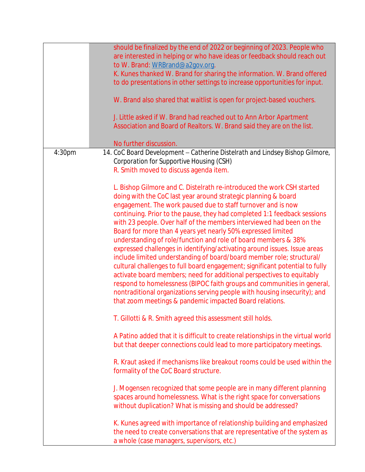|                    | should be finalized by the end of 2022 or beginning of 2023. People who<br>are interested in helping or who have ideas or feedback should reach out<br>to W. Brand: WRBrand@a2gov.org.<br>K. Kunes thanked W. Brand for sharing the information. W. Brand offered<br>to do presentations in other settings to increase opportunities for input.<br>W. Brand also shared that waitlist is open for project-based vouchers.<br>J. Little asked if W. Brand had reached out to Ann Arbor Apartment<br>Association and Board of Realtors. W. Brand said they are on the list.<br>No further discussion.                                                                                                                                                                                                                                                                                                                                                                                                                              |
|--------------------|----------------------------------------------------------------------------------------------------------------------------------------------------------------------------------------------------------------------------------------------------------------------------------------------------------------------------------------------------------------------------------------------------------------------------------------------------------------------------------------------------------------------------------------------------------------------------------------------------------------------------------------------------------------------------------------------------------------------------------------------------------------------------------------------------------------------------------------------------------------------------------------------------------------------------------------------------------------------------------------------------------------------------------|
| 4:30 <sub>pm</sub> | 14. CoC Board Development - Catherine Distelrath and Lindsey Bishop Gilmore,<br>Corporation for Supportive Housing (CSH)<br>R. Smith moved to discuss agenda item.                                                                                                                                                                                                                                                                                                                                                                                                                                                                                                                                                                                                                                                                                                                                                                                                                                                               |
|                    | L. Bishop Gilmore and C. Distelrath re-introduced the work CSH started<br>doing with the CoC last year around strategic planning & board<br>engagement. The work paused due to staff turnover and is now<br>continuing. Prior to the pause, they had completed 1:1 feedback sessions<br>with 23 people. Over half of the members interviewed had been on the<br>Board for more than 4 years yet nearly 50% expressed limited<br>understanding of role/function and role of board members & 38%<br>expressed challenges in identifying/activating around issues. Issue areas<br>include limited understanding of board/board member role; structural/<br>cultural challenges to full board engagement; significant potential to fully<br>activate board members; need for additional perspectives to equitably<br>respond to homelessness (BIPOC faith groups and communities in general,<br>nontraditional organizations serving people with housing insecurity); and<br>that zoom meetings & pandemic impacted Board relations. |
|                    | T. Gillotti & R. Smith agreed this assessment still holds.                                                                                                                                                                                                                                                                                                                                                                                                                                                                                                                                                                                                                                                                                                                                                                                                                                                                                                                                                                       |
|                    | A Patino added that it is difficult to create relationships in the virtual world<br>but that deeper connections could lead to more participatory meetings.                                                                                                                                                                                                                                                                                                                                                                                                                                                                                                                                                                                                                                                                                                                                                                                                                                                                       |
|                    | R. Kraut asked if mechanisms like breakout rooms could be used within the<br>formality of the CoC Board structure.                                                                                                                                                                                                                                                                                                                                                                                                                                                                                                                                                                                                                                                                                                                                                                                                                                                                                                               |
|                    | J. Mogensen recognized that some people are in many different planning<br>spaces around homelessness. What is the right space for conversations<br>without duplication? What is missing and should be addressed?                                                                                                                                                                                                                                                                                                                                                                                                                                                                                                                                                                                                                                                                                                                                                                                                                 |
|                    | K. Kunes agreed with importance of relationship building and emphasized<br>the need to create conversations that are representative of the system as<br>a whole (case managers, supervisors, etc.)                                                                                                                                                                                                                                                                                                                                                                                                                                                                                                                                                                                                                                                                                                                                                                                                                               |